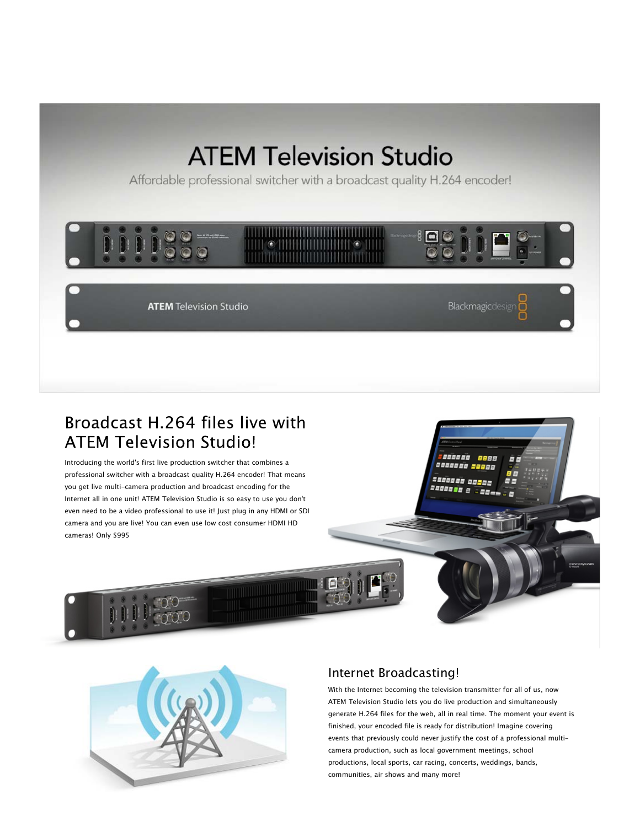# **ATEM Television Studio**

Affordable professional switcher with a broadcast quality H.264 encoder!



## Broadcast H.264 files live with **ATEM Television Studio!**

Introducing the world's first live production switcher that combines a professional switcher with a broadcast quality H.264 encoder! That means you get live multi-camera production and broadcast encoding for the Internet all in one unit! ATEM Television Studio is so easy to use you don't even need to be a video professional to use it! Just plug in any HDMI or SDI camera and you are live! You can even use low cost consumer HDMI HD cameras! Only \$995



## Internet Broadcasting!

With the Internet becoming the television transmitter for all of us, now ATEM Television Studio lets you do live production and simultaneously generate H.264 files for the web, all in real time. The moment your event is finished, your encoded file is ready for distribution! Imagine covering events that previously could never justify the cost of a professional multicamera production, such as local government meetings, school productions, local sports, car racing, concerts, weddings, bands, communities, air shows and many more!

555556 2000000 20000 saaaaa aasa 200000 E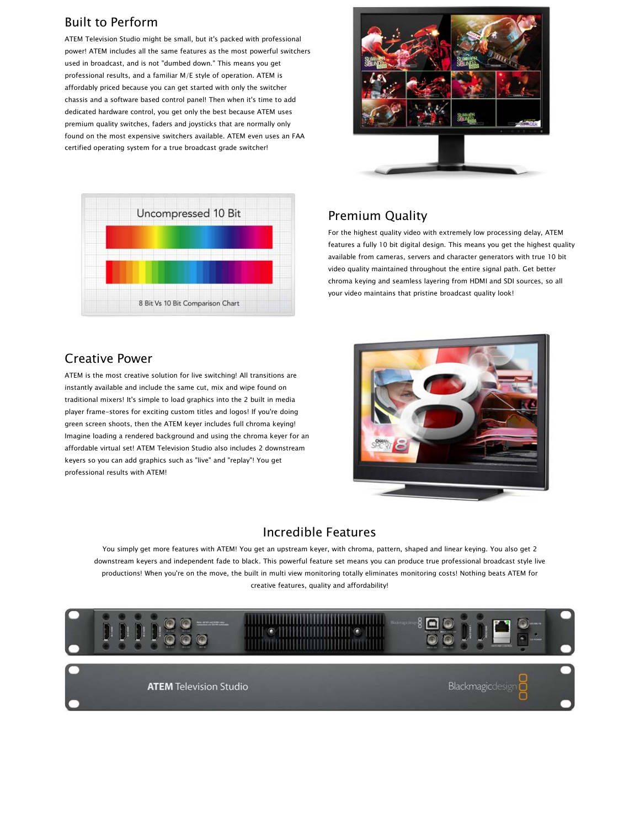## Built to Perform

ATEM Television Studio might be small, but it's packed with professional power! ATEM includes all the same features as the most powerful switchers used in broadcast, and is not "dumbed down." This means you get professional results, and a familiar M/E style of operation. ATEM is affordably priced because you can get started with only the switcher chassis and a software based control panel! Then when it's time to add dedicated hardware control, you get only the best because ATEM uses premium quality switches, faders and joysticks that are normally only found on the most expensive switchers available. ATEM even uses an FAA certified operating system for a true broadcast grade switcher!





#### Creative Power

ATEM is the most creative solution for live switching! All transitions are instantly available and include the same cut, mix and wipe found on traditional mixers! It's simple to load graphics into the 2 built in media player frame-stores for exciting custom titles and logos! If you're doing green screen shoots, then the ATEM keyer includes full chroma keying! Imagine loading a rendered background and using the chroma keyer for an affordable virtual set! ATEM Television Studio also includes 2 downstream keyers so you can add graphics such as "live" and "replay"! You get professional results with ATEM!

## Premium Quality

For the highest quality video with extremely low processing delay, ATEM features a fully 10 bit digital design. This means you get the highest quality available from cameras, servers and character generators with true 10 bit video quality maintained throughout the entire signal path. Get better chroma keying and seamless layering from HDMI and SDI sources, so all your video maintains that pristine broadcast quality look!



#### Incredible Features

You simply get more features with ATEM! You get an upstream keyer, with chroma, pattern, shaped and linear keying. You also get 2 downstream keyers and independent fade to black. This powerful feature set means you can produce true professional broadcast style live productions! When you're on the move, the built in multi view monitoring totally eliminates monitoring costs! Nothing beats ATEM for creative features, quality and affordability!



**ATEM Television Studio**